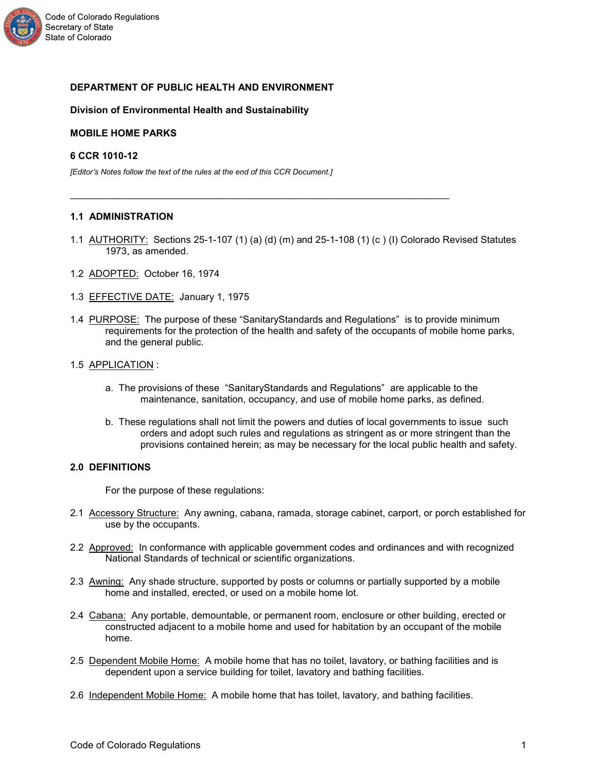

## **DEPARTMENT OF PUBLIC HEALTH AND ENVIRONMENT**

### **Division of Environmental Health and Sustainability**

### **MOBILE HOME PARKS**

## **6 CCR 1010-12**

*[Editor's Notes follow the text of the rules at the end of this CCR Document.]*

### **1.1 ADMINISTRATION**

1.1 AUTHORITY: Sections 25-1-107 (1) (a) (d) (m) and 25-1-108 (1) (c) (I) Colorado Revised Statutes 1973, as amended.

\_\_\_\_\_\_\_\_\_\_\_\_\_\_\_\_\_\_\_\_\_\_\_\_\_\_\_\_\_\_\_\_\_\_\_\_\_\_\_\_\_\_\_\_\_\_\_\_\_\_\_\_\_\_\_\_\_\_\_\_\_\_\_\_\_\_\_\_\_\_

- 1.2 ADOPTED: October 16, 1974
- 1.3 EFFECTIVE DATE: January 1, 1975
- 1.4 PURPOSE: The purpose of these "SanitaryStandards and Regulations" is to provide minimum requirements for the protection of the health and safety of the occupants of mobile home parks, and the general public.
- 1.5 APPLICATION :
	- a. The provisions of these "SanitaryStandards and Regulations" are applicable to the maintenance, sanitation, occupancy, and use of mobile home parks, as defined.
	- b. These regulations shall not limit the powers and duties of local governments to issue such orders and adopt such rules and regulations as stringent as or more stringent than the provisions contained herein; as may be necessary for the local public health and safety.

### **2.0 DEFINITIONS**

For the purpose of these regulations:

- 2.1 Accessory Structure: Any awning, cabana, ramada, storage cabinet, carport, or porch established for use by the occupants.
- 2.2 Approved: In conformance with applicable government codes and ordinances and with recognized National Standards of technical or scientific organizations.
- 2.3 Awning: Any shade structure, supported by posts or columns or partially supported by a mobile home and installed, erected, or used on a mobile home lot.
- 2.4 Cabana: Any portable, demountable, or permanent room, enclosure or other building, erected or constructed adjacent to a mobile home and used for habitation by an occupant of the mobile home.
- 2.5 Dependent Mobile Home: A mobile home that has no toilet, lavatory, or bathing facilities and is dependent upon a service building for toilet, lavatory and bathing facilities.
- 2.6 Independent Mobile Home: A mobile home that has toilet, lavatory, and bathing facilities.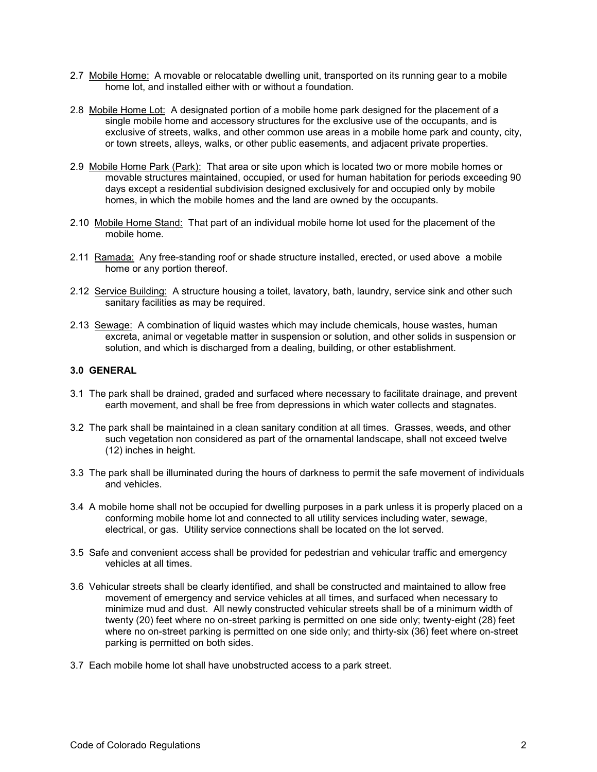- 2.7 Mobile Home: A movable or relocatable dwelling unit, transported on its running gear to a mobile home lot, and installed either with or without a foundation.
- 2.8 Mobile Home Lot: A designated portion of a mobile home park designed for the placement of a single mobile home and accessory structures for the exclusive use of the occupants, and is exclusive of streets, walks, and other common use areas in a mobile home park and county, city, or town streets, alleys, walks, or other public easements, and adjacent private properties.
- 2.9 Mobile Home Park (Park): That area or site upon which is located two or more mobile homes or movable structures maintained, occupied, or used for human habitation for periods exceeding 90 days except a residential subdivision designed exclusively for and occupied only by mobile homes, in which the mobile homes and the land are owned by the occupants.
- 2.10 Mobile Home Stand: That part of an individual mobile home lot used for the placement of the mobile home.
- 2.11 Ramada: Any free-standing roof or shade structure installed, erected, or used above a mobile home or any portion thereof.
- 2.12 Service Building: A structure housing a toilet, lavatory, bath, laundry, service sink and other such sanitary facilities as may be required.
- 2.13 Sewage: A combination of liquid wastes which may include chemicals, house wastes, human excreta, animal or vegetable matter in suspension or solution, and other solids in suspension or solution, and which is discharged from a dealing, building, or other establishment.

## **3.0 GENERAL**

- 3.1 The park shall be drained, graded and surfaced where necessary to facilitate drainage, and prevent earth movement, and shall be free from depressions in which water collects and stagnates.
- 3.2 The park shall be maintained in a clean sanitary condition at all times. Grasses, weeds, and other such vegetation non considered as part of the ornamental landscape, shall not exceed twelve (12) inches in height.
- 3.3 The park shall be illuminated during the hours of darkness to permit the safe movement of individuals and vehicles.
- 3.4 A mobile home shall not be occupied for dwelling purposes in a park unless it is properly placed on a conforming mobile home lot and connected to all utility services including water, sewage, electrical, or gas. Utility service connections shall be located on the lot served.
- 3.5 Safe and convenient access shall be provided for pedestrian and vehicular traffic and emergency vehicles at all times.
- 3.6 Vehicular streets shall be clearly identified, and shall be constructed and maintained to allow free movement of emergency and service vehicles at all times, and surfaced when necessary to minimize mud and dust. All newly constructed vehicular streets shall be of a minimum width of twenty (20) feet where no on-street parking is permitted on one side only; twenty-eight (28) feet where no on-street parking is permitted on one side only; and thirty-six (36) feet where on-street parking is permitted on both sides.
- 3.7 Each mobile home lot shall have unobstructed access to a park street.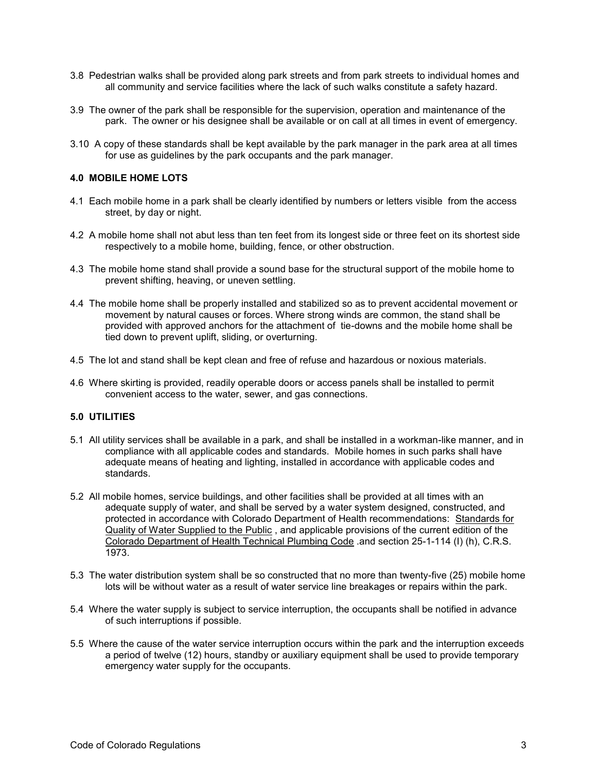- 3.8 Pedestrian walks shall be provided along park streets and from park streets to individual homes and all community and service facilities where the lack of such walks constitute a safety hazard.
- 3.9 The owner of the park shall be responsible for the supervision, operation and maintenance of the park. The owner or his designee shall be available or on call at all times in event of emergency.
- 3.10 A copy of these standards shall be kept available by the park manager in the park area at all times for use as guidelines by the park occupants and the park manager.

## **4.0 MOBILE HOME LOTS**

- 4.1 Each mobile home in a park shall be clearly identified by numbers or letters visible from the access street, by day or night.
- 4.2 A mobile home shall not abut less than ten feet from its longest side or three feet on its shortest side respectively to a mobile home, building, fence, or other obstruction.
- 4.3 The mobile home stand shall provide a sound base for the structural support of the mobile home to prevent shifting, heaving, or uneven settling.
- 4.4 The mobile home shall be properly installed and stabilized so as to prevent accidental movement or movement by natural causes or forces. Where strong winds are common, the stand shall be provided with approved anchors for the attachment of tie-downs and the mobile home shall be tied down to prevent uplift, sliding, or overturning.
- 4.5 The lot and stand shall be kept clean and free of refuse and hazardous or noxious materials.
- 4.6 Where skirting is provided, readily operable doors or access panels shall be installed to permit convenient access to the water, sewer, and gas connections.

### **5.0 UTILITIES**

- 5.1 All utility services shall be available in a park, and shall be installed in a workman-like manner, and in compliance with all applicable codes and standards. Mobile homes in such parks shall have adequate means of heating and lighting, installed in accordance with applicable codes and standards.
- 5.2 All mobile homes, service buildings, and other facilities shall be provided at all times with an adequate supply of water, and shall be served by a water system designed, constructed, and protected in accordance with Colorado Department of Health recommendations: Standards for Quality of Water Supplied to the Public , and applicable provisions of the current edition of the Colorado Department of Health Technical Plumbing Code .and section 25-1-114 (I) (h), C.R.S. 1973.
- 5.3 The water distribution system shall be so constructed that no more than twenty-five (25) mobile home lots will be without water as a result of water service line breakages or repairs within the park.
- 5.4 Where the water supply is subject to service interruption, the occupants shall be notified in advance of such interruptions if possible.
- 5.5 Where the cause of the water service interruption occurs within the park and the interruption exceeds a period of twelve (12) hours, standby or auxiliary equipment shall be used to provide temporary emergency water supply for the occupants.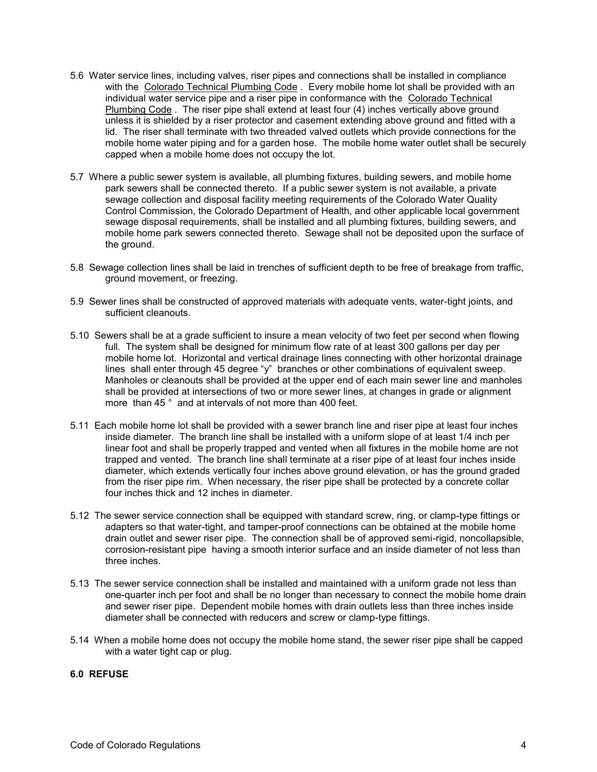- 5.6 Water service lines, including valves, riser pipes and connections shall be installed in compliance with the Colorado Technical Plumbing Code . Every mobile home lot shall be provided with an individual water service pipe and a riser pipe in conformance with the Colorado Technical Plumbing Code . The riser pipe shall extend at least four (4) inches vertically above ground unless it is shielded by a riser protector and casement extending above ground and fitted with a lid. The riser shall terminate with two threaded valved outlets which provide connections for the mobile home water piping and for a garden hose. The mobile home water outlet shall be securely capped when a mobile home does not occupy the lot.
- 5.7 Where a public sewer system is available, all plumbing fixtures, building sewers, and mobile home park sewers shall be connected thereto. If a public sewer system is not available, a private sewage collection and disposal facility meeting requirements of the Colorado Water Quality Control Commission, the Colorado Department of Health, and other applicable local government sewage disposal requirements, shall be installed and all plumbing fixtures, building sewers, and mobile home park sewers connected thereto. Sewage shall not be deposited upon the surface of the ground.
- 5.8 Sewage collection lines shall be laid in trenches of sufficient depth to be free of breakage from traffic, ground movement, or freezing.
- 5.9 Sewer lines shall be constructed of approved materials with adequate vents, water-tight joints, and sufficient cleanouts.
- 5.10 Sewers shall be at a grade sufficient to insure a mean velocity of two feet per second when flowing full. The system shall be designed for minimum flow rate of at least 300 gallons per day per mobile home lot. Horizontal and vertical drainage lines connecting with other horizontal drainage lines shall enter through 45 degree "y" branches or other combinations of equivalent sweep. Manholes or cleanouts shall be provided at the upper end of each main sewer line and manholes shall be provided at intersections of two or more sewer lines, at changes in grade or alignment more than 45 ° and at intervals of not more than 400 feet.
- 5.11 Each mobile home lot shall be provided with a sewer branch line and riser pipe at least four inches inside diameter. The branch line shall be installed with a uniform slope of at least 1/4 inch per linear foot and shall be properly trapped and vented when all fixtures in the mobile home are not trapped and vented. The branch line shall terminate at a riser pipe of at least four inches inside diameter, which extends vertically four inches above ground elevation, or has the ground graded from the riser pipe rim. When necessary, the riser pipe shall be protected by a concrete collar four inches thick and 12 inches in diameter.
- 5.12 The sewer service connection shall be equipped with standard screw, ring, or clamp-type fittings or adapters so that water-tight, and tamper-proof connections can be obtained at the mobile home drain outlet and sewer riser pipe. The connection shall be of approved semi-rigid, noncollapsible, corrosion-resistant pipe having a smooth interior surface and an inside diameter of not less than three inches.
- 5.13 The sewer service connection shall be installed and maintained with a uniform grade not less than one-quarter inch per foot and shall be no longer than necessary to connect the mobile home drain and sewer riser pipe. Dependent mobile homes with drain outlets less than three inches inside diameter shall be connected with reducers and screw or clamp-type fittings.
- 5.14 When a mobile home does not occupy the mobile home stand, the sewer riser pipe shall be capped with a water tight cap or plug.

### **6.0 REFUSE**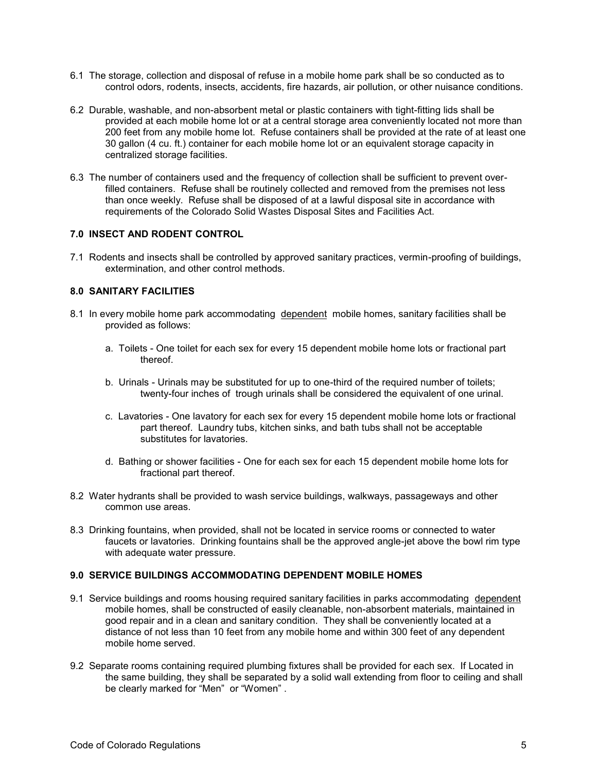- 6.1 The storage, collection and disposal of refuse in a mobile home park shall be so conducted as to control odors, rodents, insects, accidents, fire hazards, air pollution, or other nuisance conditions.
- 6.2 Durable, washable, and non-absorbent metal or plastic containers with tight-fitting lids shall be provided at each mobile home lot or at a central storage area conveniently located not more than 200 feet from any mobile home lot. Refuse containers shall be provided at the rate of at least one 30 gallon (4 cu. ft.) container for each mobile home lot or an equivalent storage capacity in centralized storage facilities.
- 6.3 The number of containers used and the frequency of collection shall be sufficient to prevent overfilled containers. Refuse shall be routinely collected and removed from the premises not less than once weekly. Refuse shall be disposed of at a lawful disposal site in accordance with requirements of the Colorado Solid Wastes Disposal Sites and Facilities Act.

## **7.0 INSECT AND RODENT CONTROL**

7.1 Rodents and insects shall be controlled by approved sanitary practices, vermin-proofing of buildings, extermination, and other control methods.

# **8.0 SANITARY FACILITIES**

- 8.1 In every mobile home park accommodating dependent mobile homes, sanitary facilities shall be provided as follows:
	- a. Toilets One toilet for each sex for every 15 dependent mobile home lots or fractional part thereof.
	- b. Urinals Urinals may be substituted for up to one-third of the required number of toilets; twenty-four inches of trough urinals shall be considered the equivalent of one urinal.
	- c. Lavatories One lavatory for each sex for every 15 dependent mobile home lots or fractional part thereof. Laundry tubs, kitchen sinks, and bath tubs shall not be acceptable substitutes for lavatories.
	- d. Bathing or shower facilities One for each sex for each 15 dependent mobile home lots for fractional part thereof.
- 8.2 Water hydrants shall be provided to wash service buildings, walkways, passageways and other common use areas.
- 8.3 Drinking fountains, when provided, shall not be located in service rooms or connected to water faucets or lavatories. Drinking fountains shall be the approved angle-jet above the bowl rim type with adequate water pressure.

# **9.0 SERVICE BUILDINGS ACCOMMODATING DEPENDENT MOBILE HOMES**

- 9.1 Service buildings and rooms housing required sanitary facilities in parks accommodating dependent mobile homes, shall be constructed of easily cleanable, non-absorbent materials, maintained in good repair and in a clean and sanitary condition. They shall be conveniently located at a distance of not less than 10 feet from any mobile home and within 300 feet of any dependent mobile home served.
- 9.2 Separate rooms containing required plumbing fixtures shall be provided for each sex. If Located in the same building, they shall be separated by a solid wall extending from floor to ceiling and shall be clearly marked for "Men" or "Women" .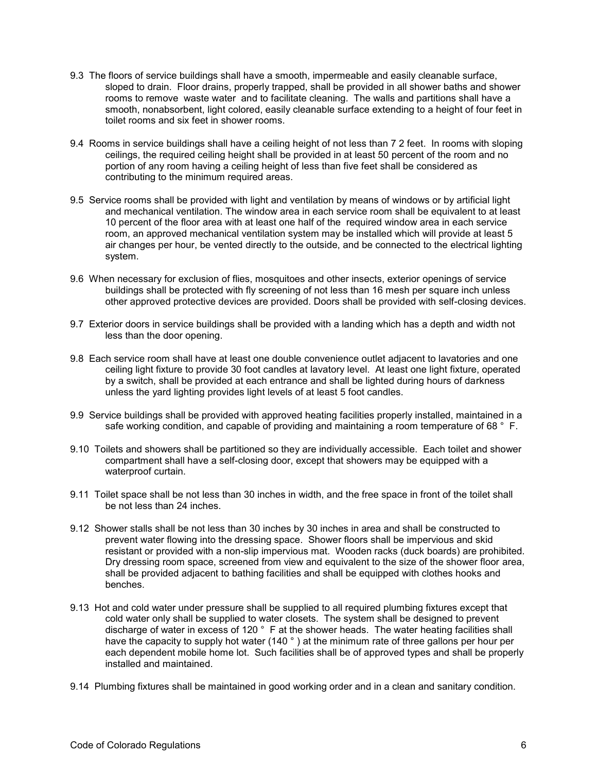- 9.3 The floors of service buildings shall have a smooth, impermeable and easily cleanable surface, sloped to drain. Floor drains, properly trapped, shall be provided in all shower baths and shower rooms to remove waste water and to facilitate cleaning. The walls and partitions shall have a smooth, nonabsorbent, light colored, easily cleanable surface extending to a height of four feet in toilet rooms and six feet in shower rooms.
- 9.4 Rooms in service buildings shall have a ceiling height of not less than 7 2 feet. In rooms with sloping ceilings, the required ceiling height shall be provided in at least 50 percent of the room and no portion of any room having a ceiling height of less than five feet shall be considered as contributing to the minimum required areas.
- 9.5 Service rooms shall be provided with light and ventilation by means of windows or by artificial light and mechanical ventilation. The window area in each service room shall be equivalent to at least 10 percent of the floor area with at least one half of the required window area in each service room, an approved mechanical ventilation system may be installed which will provide at least 5 air changes per hour, be vented directly to the outside, and be connected to the electrical lighting system.
- 9.6 When necessary for exclusion of flies, mosquitoes and other insects, exterior openings of service buildings shall be protected with fly screening of not less than 16 mesh per square inch unless other approved protective devices are provided. Doors shall be provided with self-closing devices.
- 9.7 Exterior doors in service buildings shall be provided with a landing which has a depth and width not less than the door opening.
- 9.8 Each service room shall have at least one double convenience outlet adjacent to lavatories and one ceiling light fixture to provide 30 foot candles at lavatory level. At least one light fixture, operated by a switch, shall be provided at each entrance and shall be lighted during hours of darkness unless the yard lighting provides light levels of at least 5 foot candles.
- 9.9 Service buildings shall be provided with approved heating facilities properly installed, maintained in a safe working condition, and capable of providing and maintaining a room temperature of 68 ° F.
- 9.10 Toilets and showers shall be partitioned so they are individually accessible. Each toilet and shower compartment shall have a self-closing door, except that showers may be equipped with a waterproof curtain.
- 9.11 Toilet space shall be not less than 30 inches in width, and the free space in front of the toilet shall be not less than 24 inches.
- 9.12 Shower stalls shall be not less than 30 inches by 30 inches in area and shall be constructed to prevent water flowing into the dressing space. Shower floors shall be impervious and skid resistant or provided with a non-slip impervious mat. Wooden racks (duck boards) are prohibited. Dry dressing room space, screened from view and equivalent to the size of the shower floor area, shall be provided adjacent to bathing facilities and shall be equipped with clothes hooks and benches.
- 9.13 Hot and cold water under pressure shall be supplied to all required plumbing fixtures except that cold water only shall be supplied to water closets. The system shall be designed to prevent discharge of water in excess of 120 ° F at the shower heads. The water heating facilities shall have the capacity to supply hot water (140 °) at the minimum rate of three gallons per hour per each dependent mobile home lot. Such facilities shall be of approved types and shall be properly installed and maintained.
- 9.14 Plumbing fixtures shall be maintained in good working order and in a clean and sanitary condition.